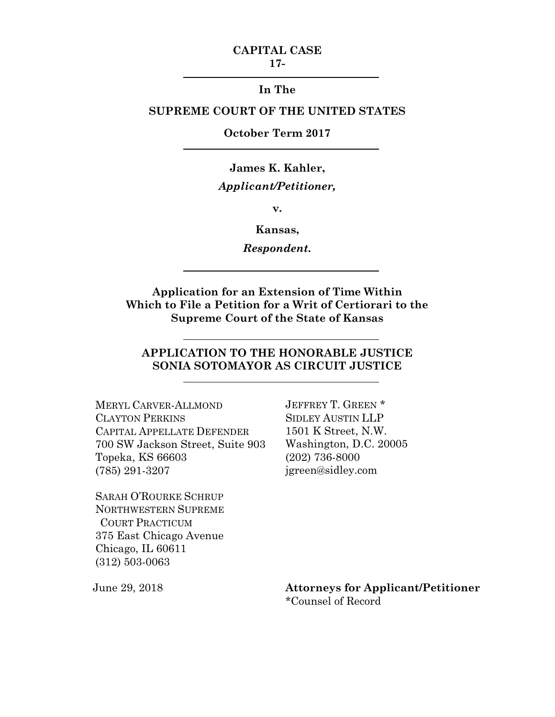### **CAPITAL CASE 17-**

## **In The**

# **SUPREME COURT OF THE UNITED STATES**

## **October Term 2017**

# **James K. Kahler,** *Applicant/Petitioner,*

**v.**

### **Kansas,**

*Respondent.*

**Application for an Extension of Time Within Which to File a Petition for a Writ of Certiorari to the Supreme Court of the State of Kansas**

# **APPLICATION TO THE HONORABLE JUSTICE SONIA SOTOMAYOR AS CIRCUIT JUSTICE**

MERYL CARVER-ALLMOND JEFFREY T. GREEN \* CLAYTON PERKINS SIDLEY AUSTIN LLP CAPITAL APPELLATE DEFENDER 1501 K Street, N.W. 700 SW Jackson Street, Suite 903 Washington, D.C. 20005 Topeka, KS 66603 (202) 736-8000 (785) 291-3207 jgreen@sidley.com

SARAH O'ROURKE SCHRUP NORTHWESTERN SUPREME COURT PRACTICUM 375 East Chicago Avenue Chicago, IL 60611 (312) 503-0063

June 29, 2018 **Attorneys for Applicant/Petitioner** \*Counsel of Record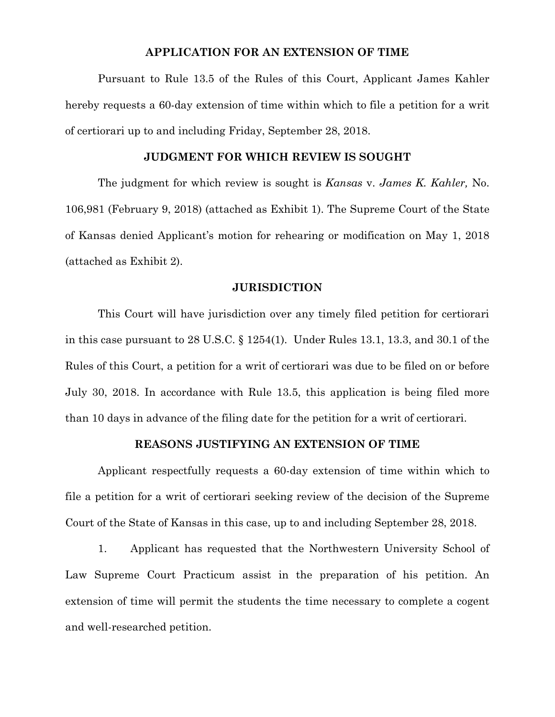### **APPLICATION FOR AN EXTENSION OF TIME**

Pursuant to Rule 13.5 of the Rules of this Court, Applicant James Kahler hereby requests a 60-day extension of time within which to file a petition for a writ of certiorari up to and including Friday, September 28, 2018.

#### **JUDGMENT FOR WHICH REVIEW IS SOUGHT**

The judgment for which review is sought is *Kansas* v. *James K. Kahler,* No. 106,981 (February 9, 2018) (attached as Exhibit 1). The Supreme Court of the State of Kansas denied Applicant's motion for rehearing or modification on May 1, 2018 (attached as Exhibit 2).

#### **JURISDICTION**

This Court will have jurisdiction over any timely filed petition for certiorari in this case pursuant to 28 U.S.C. § 1254(1). Under Rules 13.1, 13.3, and 30.1 of the Rules of this Court, a petition for a writ of certiorari was due to be filed on or before July 30, 2018. In accordance with Rule 13.5, this application is being filed more than 10 days in advance of the filing date for the petition for a writ of certiorari.

### **REASONS JUSTIFYING AN EXTENSION OF TIME**

Applicant respectfully requests a 60-day extension of time within which to file a petition for a writ of certiorari seeking review of the decision of the Supreme Court of the State of Kansas in this case, up to and including September 28, 2018.

1. Applicant has requested that the Northwestern University School of Law Supreme Court Practicum assist in the preparation of his petition. An extension of time will permit the students the time necessary to complete a cogent and well-researched petition.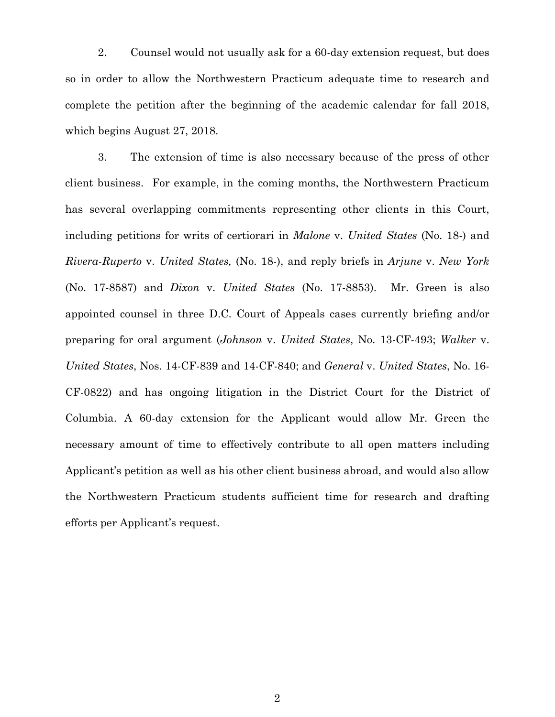2. Counsel would not usually ask for a 60-day extension request, but does so in order to allow the Northwestern Practicum adequate time to research and complete the petition after the beginning of the academic calendar for fall 2018, which begins August 27, 2018.

3. The extension of time is also necessary because of the press of other client business. For example, in the coming months, the Northwestern Practicum has several overlapping commitments representing other clients in this Court, including petitions for writs of certiorari in *Malone* v. *United States* (No. 18-) and *Rivera-Ruperto* v. *United States,* (No. 18-), and reply briefs in *Arjune* v. *New York*  (No. 17-8587) and *Dixon* v. *United States* (No. 17-8853). Mr. Green is also appointed counsel in three D.C. Court of Appeals cases currently briefing and/or preparing for oral argument (*Johnson* v. *United States*, No. 13-CF-493; *Walker* v. *United States*, Nos. 14-CF-839 and 14-CF-840; and *General* v. *United States*, No. 16- CF-0822) and has ongoing litigation in the District Court for the District of Columbia. A 60-day extension for the Applicant would allow Mr. Green the necessary amount of time to effectively contribute to all open matters including Applicant's petition as well as his other client business abroad, and would also allow the Northwestern Practicum students sufficient time for research and drafting efforts per Applicant's request.